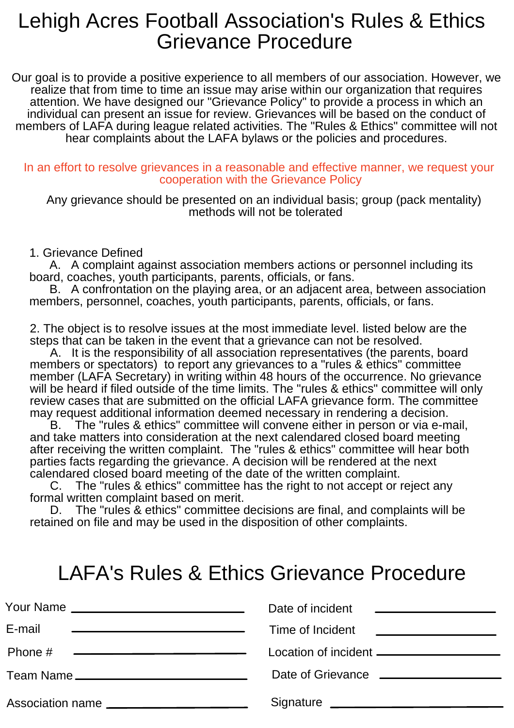## Lehigh Acres Football Association's Rules & Ethics Grievance Procedure

Our goal is to provide a positive experience to all members of our association. However, we realize that from time to time an issue may arise within our organization that requires attention. We have designed our "Grievance Policy" to provide a process in which an individual can present an issue for review. Grievances will be based on the conduct of members of LAFA during league related activities. The "Rules & Ethics" committee will not hear complaints about the LAFA bylaws or the policies and procedures.

## In an effort to resolve grievances in a reasonable and effective manner, we request your cooperation with the Grievance Policy

Any grievance should be presented on an individual basis; group (pack mentality) methods will not be tolerated

## 1. Grievance Defined

 A. A complaint against association members actions or personnel including its board, coaches, youth participants, parents, officials, or fans.

 B. A confrontation on the playing area, or an adjacent area, between association members, personnel, coaches, youth participants, parents, officials, or fans.

2. The object is to resolve issues at the most immediate level. listed below are the steps that can be taken in the event that a grievance can not be resolved.

 A. It is the responsibility of all association representatives (the parents, board members or spectators) to report any grievances to a "rules & ethics" committee member (LAFA Secretary) in writing within 48 hours of the occurrence. No grievance will be heard if filed outside of the time limits. The "rules & ethics" committee will only review cases that are submitted on the official LAFA grievance form. The committee may request additional information deemed necessary in rendering a decision.

 B. The "rules & ethics" committee will convene either in person or via e-mail, and take matters into consideration at the next calendared closed board meeting after receiving the written complaint. The "rules & ethics" committee will hear both parties facts regarding the grievance. A decision will be rendered at the next calendared closed board meeting of the date of the written complaint.

 C. The "rules & ethics" committee has the right to not accept or reject any formal written complaint based on merit.

 D. The "rules & ethics" committee decisions are final, and complaints will be retained on file and may be used in the disposition of other complaints.

## LAFA's Rules & Ethics Grievance Procedure

| Your Name<br><u> Alexandria de la contrada de la contrada de la contrada de la contrada de la contrada de la contrada de la c</u> | Date of incident<br><u> 1980 - Andrea Andrew Maria (h. 1980).</u> |
|-----------------------------------------------------------------------------------------------------------------------------------|-------------------------------------------------------------------|
| E-mail<br><u> Andreas Andrews Andrews Andrews Andrews Andrews Andrews Andrews Andrews Andrews Andrews Andrews Andrews Andrews</u> | Time of Incident                                                  |
| Phone #<br><u> 1989 - Johann Barn, fransk politik (d. 1989)</u>                                                                   | Location of incident ____________________                         |
|                                                                                                                                   |                                                                   |
| Association name                                                                                                                  | Signature Signature                                               |